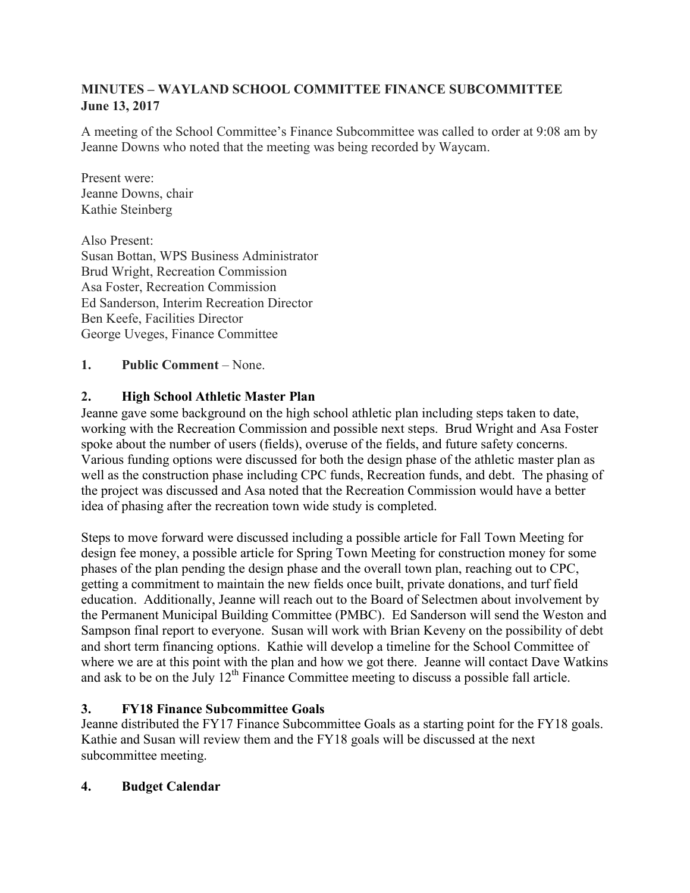# **MINUTES – WAYLAND SCHOOL COMMITTEE FINANCE SUBCOMMITTEE June 13, 2017**

A meeting of the School Committee's Finance Subcommittee was called to order at 9:08 am by Jeanne Downs who noted that the meeting was being recorded by Waycam.

Present were: Jeanne Downs, chair Kathie Steinberg

Also Present: Susan Bottan, WPS Business Administrator Brud Wright, Recreation Commission Asa Foster, Recreation Commission Ed Sanderson, Interim Recreation Director Ben Keefe, Facilities Director George Uveges, Finance Committee

**1. Public Comment** – None.

# **2. High School Athletic Master Plan**

Jeanne gave some background on the high school athletic plan including steps taken to date, working with the Recreation Commission and possible next steps. Brud Wright and Asa Foster spoke about the number of users (fields), overuse of the fields, and future safety concerns. Various funding options were discussed for both the design phase of the athletic master plan as well as the construction phase including CPC funds, Recreation funds, and debt. The phasing of the project was discussed and Asa noted that the Recreation Commission would have a better idea of phasing after the recreation town wide study is completed.

Steps to move forward were discussed including a possible article for Fall Town Meeting for design fee money, a possible article for Spring Town Meeting for construction money for some phases of the plan pending the design phase and the overall town plan, reaching out to CPC, getting a commitment to maintain the new fields once built, private donations, and turf field education. Additionally, Jeanne will reach out to the Board of Selectmen about involvement by the Permanent Municipal Building Committee (PMBC). Ed Sanderson will send the Weston and Sampson final report to everyone. Susan will work with Brian Keveny on the possibility of debt and short term financing options. Kathie will develop a timeline for the School Committee of where we are at this point with the plan and how we got there. Jeanne will contact Dave Watkins and ask to be on the July 12<sup>th</sup> Finance Committee meeting to discuss a possible fall article.

# **3. FY18 Finance Subcommittee Goals**

Jeanne distributed the FY17 Finance Subcommittee Goals as a starting point for the FY18 goals. Kathie and Susan will review them and the FY18 goals will be discussed at the next subcommittee meeting.

# **4. Budget Calendar**